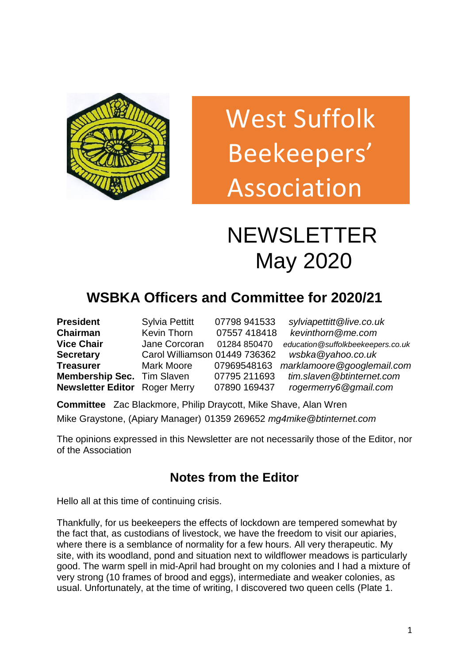

# West Suffolk Beekeepers' Association

## NEWSLETTER May 2020 NEWSLET

## **WSBKA Officers and Committee for 2020/21**

| <b>President</b>                     | <b>Sylvia Pettitt</b>         | 07798 941533 | sylviapettitt@live.co.uk          |
|--------------------------------------|-------------------------------|--------------|-----------------------------------|
| <b>Chairman</b>                      | Kevin Thorn                   | 07557 418418 | kevinthorn@me.com                 |
| <b>Vice Chair</b>                    | Jane Corcoran                 | 01284 850470 | education@suffolkbeekeepers.co.uk |
| <b>Secretary</b>                     | Carol Williamson 01449 736362 |              | wsbka@yahoo.co.uk                 |
| <b>Treasurer</b>                     | Mark Moore                    | 07969548163  | marklamoore@googlemail.com        |
| <b>Membership Sec.</b> Tim Slaven    |                               | 07795 211693 | tim.slaven@btinternet.com         |
| <b>Newsletter Editor</b> Roger Merry |                               | 07890 169437 | rogermerry6@gmail.com             |

**Committee** Zac Blackmore, Philip Draycott, Mike Shave, Alan Wren Mike Graystone, (Apiary Manager) 01359 269652 *[mg4mike@btinternet.com](mailto:mg4mike@btinternet.co)*

The opinions expressed in this Newsletter are not necessarily those of the Editor, nor of the Association

## **Notes from the Editor**

Hello all at this time of continuing crisis.

Thankfully, for us beekeepers the effects of lockdown are tempered somewhat by the fact that, as custodians of livestock, we have the freedom to visit our apiaries, where there is a semblance of normality for a few hours. All very therapeutic. My site, with its woodland, pond and situation next to wildflower meadows is particularly good. The warm spell in mid-April had brought on my colonies and I had a mixture of very strong (10 frames of brood and eggs), intermediate and weaker colonies, as usual. Unfortunately, at the time of writing, I discovered two queen cells (Plate 1.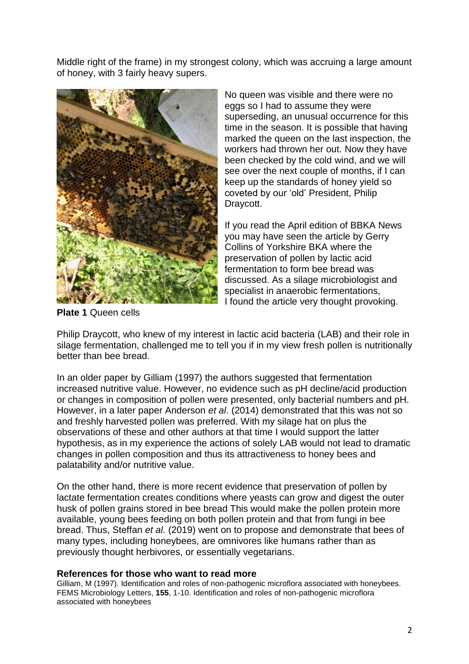Middle right of the frame) in my strongest colony, which was accruing a large amount of honey, with 3 fairly heavy supers.



No queen was visible and there were no eggs so I had to assume they were superseding, an unusual occurrence for this time in the season. It is possible that having marked the queen on the last inspection, the workers had thrown her out. Now they have been checked by the cold wind, and we will see over the next couple of months, if I can keep up the standards of honey yield so coveted by our 'old' President, Philip Draycott.

If you read the April edition of BBKA News you may have seen the article by Gerry Collins of Yorkshire BKA where the preservation of pollen by lactic acid fermentation to form bee bread was discussed. As a silage microbiologist and specialist in anaerobic fermentations, I found the article very thought provoking.

**Plate 1** Queen cells

Philip Draycott, who knew of my interest in lactic acid bacteria (LAB) and their role in silage fermentation, challenged me to tell you if in my view fresh pollen is nutritionally better than bee bread.

In an older paper by Gilliam (1997) the authors suggested that fermentation increased nutritive value. However, no evidence such as pH decline/acid production or changes in composition of pollen were presented, only bacterial numbers and pH. However, in a later paper Anderson *et al*. (2014) demonstrated that this was not so and freshly harvested pollen was preferred. With my silage hat on plus the observations of these and other authors at that time I would support the latter hypothesis, as in my experience the actions of solely LAB would not lead to dramatic changes in pollen composition and thus its attractiveness to honey bees and palatability and/or nutritive value.

On the other hand, there is more recent evidence that preservation of pollen by lactate fermentation creates conditions where yeasts can grow and digest the outer husk of pollen grains stored in bee bread This would make the pollen protein more available, young bees feeding on both pollen protein and that from fungi in bee bread. Thus, Steffan *et al.* (2019) went on to propose and demonstrate that bees of many types, including honeybees, are omnivores like humans rather than as previously thought herbivores, or essentially vegetarians.

#### **References for those who want to read more**

Gilliam, M (1997). Identification and roles of non-pathogenic microflora associated with honeybees. FEMS Microbiology Letters, **155**, 1-10. Identification and roles of non-pathogenic microflora associated with honeybees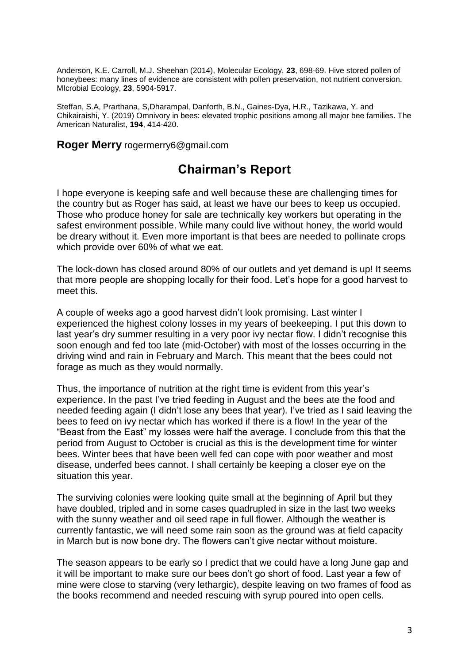Anderson, K.E. Carroll, M.J. Sheehan (2014), Molecular Ecology, **23**, 698-69. Hive stored pollen of honeybees: many lines of evidence are consistent with pollen preservation, not nutrient conversion. MIcrobial Ecology, **23**, 5904-5917.

Steffan, S.A, Prarthana, S,Dharampal, Danforth, B.N., Gaines-Dya, H.R., Tazikawa, Y. and Chikairaishi, Y. (2019) Omnivory in bees: elevated trophic positions among all major bee families. The American Naturalist, **194**, 414-420.

**Roger Merry** rogermerry6@gmail.com

### **Chairman's Report**

I hope everyone is keeping safe and well because these are challenging times for the country but as Roger has said, at least we have our bees to keep us occupied. Those who produce honey for sale are technically key workers but operating in the safest environment possible. While many could live without honey, the world would be dreary without it. Even more important is that bees are needed to pollinate crops which provide over 60% of what we eat.

The lock-down has closed around 80% of our outlets and yet demand is up! It seems that more people are shopping locally for their food. Let's hope for a good harvest to meet this.

A couple of weeks ago a good harvest didn't look promising. Last winter I experienced the highest colony losses in my years of beekeeping. I put this down to last year's dry summer resulting in a very poor ivy nectar flow. I didn't recognise this soon enough and fed too late (mid-October) with most of the losses occurring in the driving wind and rain in February and March. This meant that the bees could not forage as much as they would normally.

Thus, the importance of nutrition at the right time is evident from this year's experience. In the past I've tried feeding in August and the bees ate the food and needed feeding again (I didn't lose any bees that year). I've tried as I said leaving the bees to feed on ivy nectar which has worked if there is a flow! In the year of the "Beast from the East" my losses were half the average. I conclude from this that the period from August to October is crucial as this is the development time for winter bees. Winter bees that have been well fed can cope with poor weather and most disease, underfed bees cannot. I shall certainly be keeping a closer eye on the situation this year.

The surviving colonies were looking quite small at the beginning of April but they have doubled, tripled and in some cases quadrupled in size in the last two weeks with the sunny weather and oil seed rape in full flower. Although the weather is currently fantastic, we will need some rain soon as the ground was at field capacity in March but is now bone dry. The flowers can't give nectar without moisture.

The season appears to be early so I predict that we could have a long June gap and it will be important to make sure our bees don't go short of food. Last year a few of mine were close to starving (very lethargic), despite leaving on two frames of food as the books recommend and needed rescuing with syrup poured into open cells.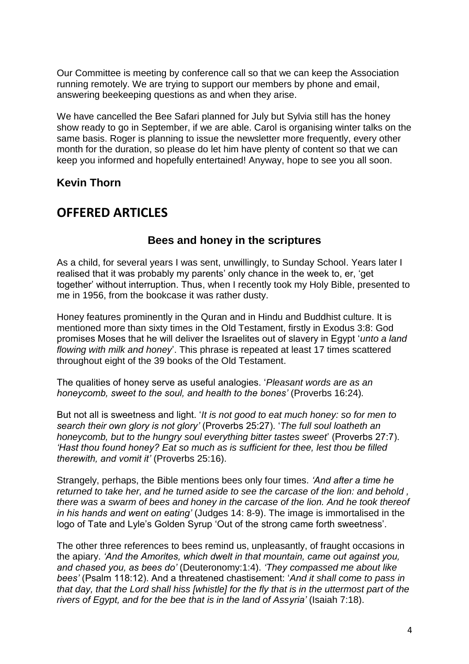Our Committee is meeting by conference call so that we can keep the Association running remotely. We are trying to support our members by phone and email, answering beekeeping questions as and when they arise.

We have cancelled the Bee Safari planned for July but Sylvia still has the honey show ready to go in September, if we are able. Carol is organising winter talks on the same basis. Roger is planning to issue the newsletter more frequently, every other month for the duration, so please do let him have plenty of content so that we can keep you informed and hopefully entertained! Anyway, hope to see you all soon.

#### **Kevin Thorn**

#### **OFFERED ARTICLES**

#### **Bees and honey in the scriptures**

As a child, for several years I was sent, unwillingly, to Sunday School. Years later I realised that it was probably my parents' only chance in the week to, er, 'get together' without interruption. Thus, when I recently took my Holy Bible, presented to me in 1956, from the bookcase it was rather dusty.

Honey features prominently in the Quran and in Hindu and Buddhist culture. It is mentioned more than sixty times in the Old Testament, firstly in Exodus 3:8: God promises Moses that he will deliver the Israelites out of slavery in Egypt '*unto a land flowing with milk and honey*'. This phrase is repeated at least 17 times scattered throughout eight of the 39 books of the Old Testament.

The qualities of honey serve as useful analogies. '*Pleasant words are as an honeycomb, sweet to the soul, and health to the bones'* (Proverbs 16:24).

But not all is sweetness and light. '*It is not good to eat much honey: so for men to search their own glory is not glory'* (Proverbs 25:27). '*The full soul loatheth an honeycomb, but to the hungry soul everything bitter tastes sweet*' (Proverbs 27:7). *'Hast thou found honey? Eat so much as is sufficient for thee, lest thou be filled therewith, and vomit it'* (Proverbs 25:16).

Strangely, perhaps, the Bible mentions bees only four times. *'And after a time he returned to take her, and he turned aside to see the carcase of the lion: and behold , there was a swarm of bees and honey in the carcase of the lion. And he took thereof in his hands and went on eating'* (Judges 14: 8-9). The image is immortalised in the logo of Tate and Lyle's Golden Syrup 'Out of the strong came forth sweetness'.

The other three references to bees remind us, unpleasantly, of fraught occasions in the apiary. *'And the Amorites, which dwelt in that mountain, came out against you, and chased you, as bees do'* (Deuteronomy:1:4). *'They compassed me about like bees'* (Psalm 118:12). And a threatened chastisement: '*And it shall come to pass in that day, that the Lord shall hiss [whistle] for the fly that is in the uttermost part of the rivers of Egypt, and for the bee that is in the land of Assyria'* (Isaiah 7:18).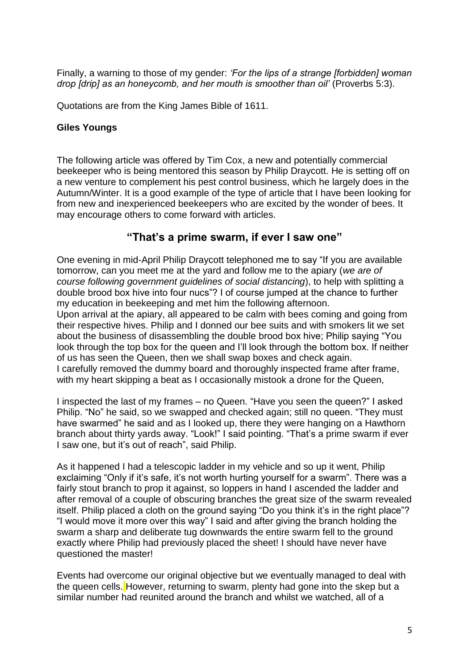Finally, a warning to those of my gender: *'For the lips of a strange [forbidden] woman drop [drip] as an honeycomb, and her mouth is smoother than oil'* (Proverbs 5:3).

Quotations are from the King James Bible of 1611.

#### **Giles Youngs**

The following article was offered by Tim Cox, a new and potentially commercial beekeeper who is being mentored this season by Philip Draycott. He is setting off on a new venture to complement his pest control business, which he largely does in the Autumn/Winter. It is a good example of the type of article that I have been looking for from new and inexperienced beekeepers who are excited by the wonder of bees. It may encourage others to come forward with articles.

#### **"That's a prime swarm, if ever I saw one"**

One evening in mid-April Philip Draycott telephoned me to say "If you are available tomorrow, can you meet me at the yard and follow me to the apiary (*we are of course following government guidelines of social distancing*), to help with splitting a double brood box hive into four nucs"? I of course jumped at the chance to further my education in beekeeping and met him the following afternoon.

Upon arrival at the apiary, all appeared to be calm with bees coming and going from their respective hives. Philip and I donned our bee suits and with smokers lit we set about the business of disassembling the double brood box hive; Philip saying "You look through the top box for the queen and I'll look through the bottom box. If neither of us has seen the Queen, then we shall swap boxes and check again. I carefully removed the dummy board and thoroughly inspected frame after frame, with my heart skipping a beat as I occasionally mistook a drone for the Queen,

I inspected the last of my frames – no Queen. "Have you seen the queen?" I asked Philip. "No" he said, so we swapped and checked again; still no queen. "They must have swarmed" he said and as I looked up, there they were hanging on a Hawthorn branch about thirty yards away. "Look!" I said pointing. "That's a prime swarm if ever I saw one, but it's out of reach", said Philip.

As it happened I had a telescopic ladder in my vehicle and so up it went, Philip exclaiming "Only if it's safe, it's not worth hurting yourself for a swarm". There was a fairly stout branch to prop it against, so loppers in hand I ascended the ladder and after removal of a couple of obscuring branches the great size of the swarm revealed itself. Philip placed a cloth on the ground saying "Do you think it's in the right place"? "I would move it more over this way" I said and after giving the branch holding the swarm a sharp and deliberate tug downwards the entire swarm fell to the ground exactly where Philip had previously placed the sheet! I should have never have questioned the master!

Events had overcome our original objective but we eventually managed to deal with the queen cells. However, returning to swarm, plenty had gone into the skep but a similar number had reunited around the branch and whilst we watched, all of a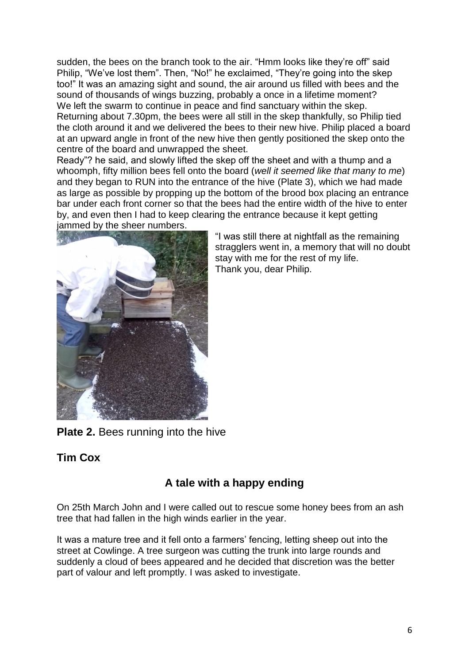sudden, the bees on the branch took to the air. "Hmm looks like they're off" said Philip, "We've lost them". Then, "No!" he exclaimed, "They're going into the skep too!" It was an amazing sight and sound, the air around us filled with bees and the sound of thousands of wings buzzing, probably a once in a lifetime moment? We left the swarm to continue in peace and find sanctuary within the skep.

Returning about 7.30pm, the bees were all still in the skep thankfully, so Philip tied the cloth around it and we delivered the bees to their new hive. Philip placed a board at an upward angle in front of the new hive then gently positioned the skep onto the centre of the board and unwrapped the sheet.

Ready"? he said, and slowly lifted the skep off the sheet and with a thump and a whoomph, fifty million bees fell onto the board (*well it seemed like that many to me*) and they began to RUN into the entrance of the hive (Plate 3), which we had made as large as possible by propping up the bottom of the brood box placing an entrance bar under each front corner so that the bees had the entire width of the hive to enter by, and even then I had to keep clearing the entrance because it kept getting jammed by the sheer numbers.



"I was still there at nightfall as the remaining stragglers went in, a memory that will no doubt stay with me for the rest of my life. Thank you, dear Philip.

**Plate 2.** Bees running into the hive

#### **Tim Cox**

#### **A tale with a happy ending**

On 25th March John and I were called out to rescue some honey bees from an ash tree that had fallen in the high winds earlier in the year.

It was a mature tree and it fell onto a farmers' fencing, letting sheep out into the street at Cowlinge. A tree surgeon was cutting the trunk into large rounds and suddenly a cloud of bees appeared and he decided that discretion was the better part of valour and left promptly. I was asked to investigate.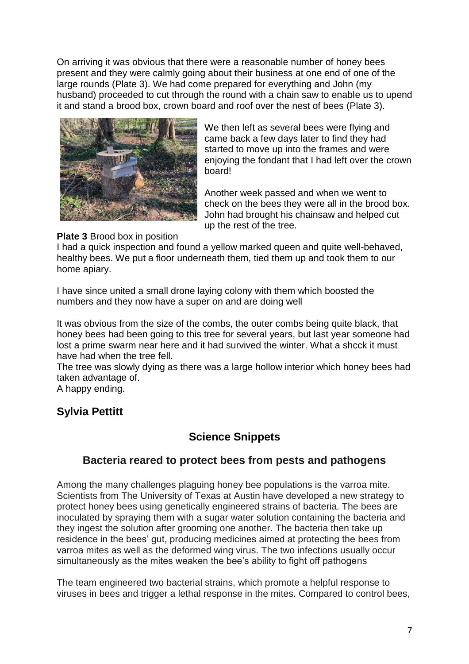On arriving it was obvious that there were a reasonable number of honey bees present and they were calmly going about their business at one end of one of the large rounds (Plate 3). We had come prepared for everything and John (my husband) proceeded to cut through the round with a chain saw to enable us to upend it and stand a brood box, crown board and roof over the nest of bees (Plate 3).



We then left as several bees were flying and came back a few days later to find they had started to move up into the frames and were enjoying the fondant that I had left over the crown board!

Another week passed and when we went to check on the bees they were all in the brood box. John had brought his chainsaw and helped cut up the rest of the tree.

#### **Plate 3** Brood box in position

I had a quick inspection and found a yellow marked queen and quite well-behaved, healthy bees. We put a floor underneath them, tied them up and took them to our home apiary.

I have since united a small drone laying colony with them which boosted the numbers and they now have a super on and are doing well

It was obvious from the size of the combs, the outer combs being quite black, that honey bees had been going to this tree for several years, but last year someone had lost a prime swarm near here and it had survived the winter. What a shcck it must have had when the tree fell.

The tree was slowly dying as there was a large hollow interior which honey bees had taken advantage of.

A happy ending.

#### **Sylvia Pettitt**

#### **Science Snippets**

#### **Bacteria reared to protect bees from pests and pathogens**

Among the many challenges plaguing honey bee populations is the varroa mite. Scientists from The University of Texas at Austin have developed a new strategy to protect honey bees using genetically engineered strains of bacteria. The bees are inoculated by spraying them with a sugar water solution containing the bacteria and they ingest the solution after grooming one another. The bacteria then take up residence in the bees' gut, producing medicines aimed at protecting the bees from varroa mites as well as the deformed wing virus. The two infections usually occur simultaneously as the mites weaken the bee's ability to fight off pathogens

The team engineered two bacterial strains, which promote a helpful response to viruses in bees and trigger a lethal response in the mites. Compared to control bees,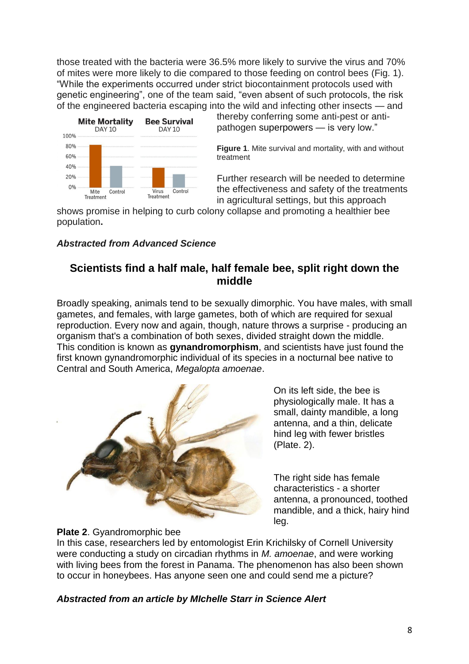those treated with the bacteria were 36.5% more likely to survive the virus and 70% of mites were more likely to die compared to those feeding on control bees (Fig. 1). "While the experiments occurred under strict biocontainment protocols used with genetic engineering", one of the team said, "even absent of such protocols, the risk of the engineered bacteria escaping into the wild and infecting other insects — and



thereby conferring some anti-pest or antipathogen superpowers — is very low."

**Figure 1**. Mite survival and mortality, with and without treatment

Further research will be needed to determine the effectiveness and safety of the treatments in agricultural settings, but this approach

shows promise in helping to curb colony collapse and promoting a healthier bee population**.**

#### *Abstracted from Advanced Science*

#### **Scientists find a half male, half female bee, split right down the middle**

Broadly speaking, animals tend to be sexually dimorphic. You have males, with small gametes, and females, with large gametes, both of which are required for sexual reproduction. Every now and again, though, nature throws a surprise - producing an organism that's a combination of both sexes, divided straight down the middle. This condition is known as **gynandromorphism**, and scientists have just found the first known gynandromorphic individual of its species in a nocturnal bee native to Central and South America, *Megalopta amoenae*.



On its left side, the bee is physiologically male. It has a small, dainty mandible, a long antenna, and a thin, delicate hind leg with fewer bristles (Plate. 2).

The right side has female characteristics - a shorter antenna, a pronounced, toothed mandible, and a thick, hairy hind leg.



In this case, researchers led by entomologist Erin Krichilsky of Cornell University were conducting a study on circadian rhythms in *M. amoenae*, and were working with living bees from the forest in Panama. The phenomenon has also been shown to occur in honeybees. Has anyone seen one and could send me a picture?

#### *Abstracted from an article by MIchelle Starr in Science Alert*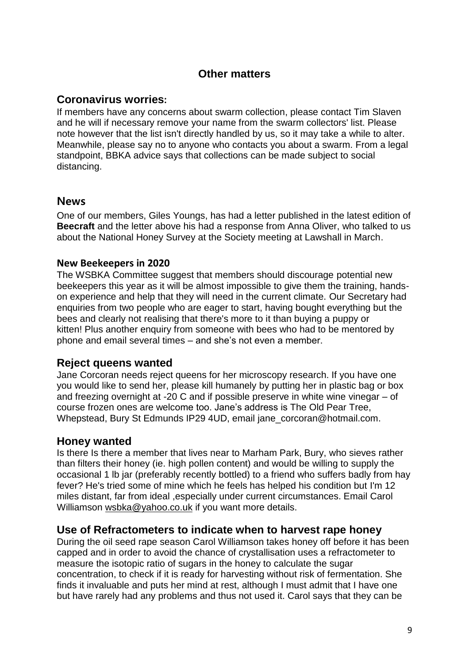#### **Other matters**

#### **Coronavirus worries**:

If members have any concerns about swarm collection, please contact Tim Slaven and he will if necessary remove your name from the swarm collectors' list. Please note however that the list isn't directly handled by us, so it may take a while to alter. Meanwhile, please say no to anyone who contacts you about a swarm. From a legal standpoint, BBKA advice says that collections can be made subject to social distancing.

#### **News**

One of our members, Giles Youngs, has had a letter published in the latest edition of **Beecraft** and the letter above his had a response from Anna Oliver, who talked to us about the National Honey Survey at the Society meeting at Lawshall in March.

#### **New Beekeepers in 2020**

The WSBKA Committee suggest that members should discourage potential new beekeepers this year as it will be almost impossible to give them the training, handson experience and help that they will need in the current climate. Our Secretary had enquiries from two people who are eager to start, having bought everything but the bees and clearly not realising that there's more to it than buying a puppy or kitten! Plus another enquiry from someone with bees who had to be mentored by phone and email several times – and she's not even a member.

#### **Reject queens wanted**

Jane Corcoran needs reject queens for her microscopy research. If you have one you would like to send her, please kill humanely by putting her in plastic bag or box and freezing overnight at -20 C and if possible preserve in white wine vinegar – of course frozen ones are welcome too. Jane's address is The Old Pear Tree, Whepstead, Bury St Edmunds IP29 4UD, email [jane\\_corcoran@hotmail.com.](mailto:jane_corcoran@hotmail.com)

#### **Honey wanted**

Is there Is there a member that lives near to Marham Park, Bury, who sieves rather than filters their honey (ie. high pollen content) and would be willing to supply the occasional 1 lb jar (preferably recently bottled) to a friend who suffers badly from hay fever? He's tried some of mine which he feels has helped his condition but I'm 12 miles distant, far from ideal ,especially under current circumstances. Email Carol Williamson [wsbka@yahoo.co.uk](mailto:wsbka@yahoo.co.uk) if you want more details.

#### **Use of Refractometers to indicate when to harvest rape honey**

During the oil seed rape season Carol Williamson takes honey off before it has been capped and in order to avoid the chance of crystallisation uses a refractometer to measure the isotopic ratio of sugars in the honey to calculate the sugar concentration, to check if it is ready for harvesting without risk of fermentation. She finds it invaluable and puts her mind at rest, although I must admit that I have one but have rarely had any problems and thus not used it. Carol says that they can be